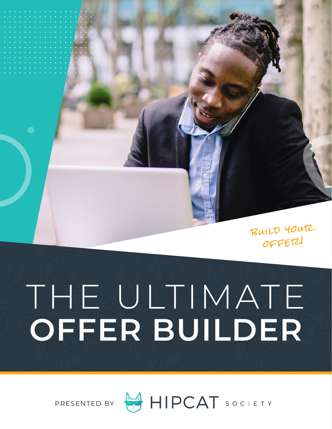build your offer!

# THATE **OFFER BUILDER**



PRESENTED BY HIPCAT SOCIETY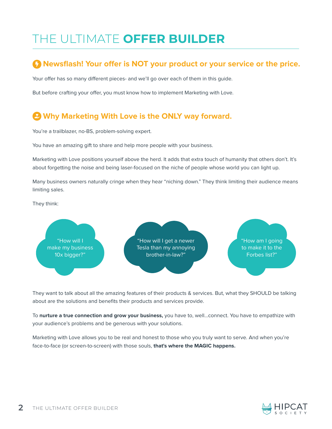# THE ULTIMATE **OFFER BUILDER**

## **A** Newsflash! Your offer is NOT your product or your service or the price.

Your offer has so many different pieces- and we'll go over each of them in this guide.

But before crafting your offer, you must know how to implement Marketing with Love.

# **Why Marketing With Love is the ONLY way forward.**

You're a trailblazer, no-BS, problem-solving expert.

You have an amazing gift to share and help more people with your business.

Marketing with Love positions yourself above the herd. It adds that extra touch of humanity that others don't. It's about forgetting the noise and being laser-focused on the niche of people whose world you can light up.

Many business owners naturally cringe when they hear "niching down." They think limiting their audience means limiting sales.

They think:



They want to talk about all the amazing features of their products & services. But, what they SHOULD be talking about are the solutions and benefits their products and services provide.

To **nurture a true connection and grow your business,** you have to, well...connect. You have to empathize with your audience's problems and be generous with your solutions.

Marketing with Love allows you to be real and honest to those who you truly want to serve. And when you're face-to-face (or screen-to-screen) with those souls, **that's where the MAGIC happens.**

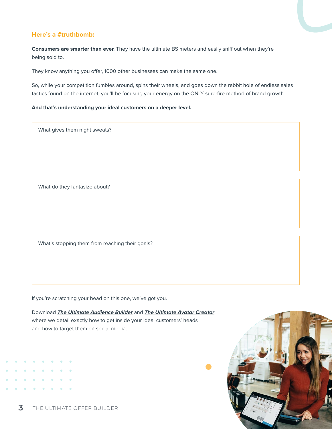#### **Here's a #truthbomb:**

**Consumers are smarter than ever.** They have the ultimate BS meters and easily sniff out when they're being sold to.

They know anything you offer, 1000 other businesses can make the same one.

So, while your competition fumbles around, spins their wheels, and goes down the rabbit hole of endless sales tactics found on the internet, you'll be focusing your energy on the ONLY sure-fire method of brand growth.

#### **And that's understanding your ideal customers on a deeper level.**

What gives them night sweats?

What do they fantasize about?

What's stopping them from reaching their goals?

If you're scratching your head on this one, we've got you.

Download *[The Ultimate Audience Builder](https://www.hipcatsociety.com/wp-content/uploads/2020/11/20.10-Audience-Finder.pdf)* and *[The Ultimate Avatar Creator](https://www.hipcatsociety.com/wp-content/uploads/2020/11/20.10-Avatar-Creator.pdf)*, where we detail exactly how to get inside your ideal customers' heads and how to target them on social media.

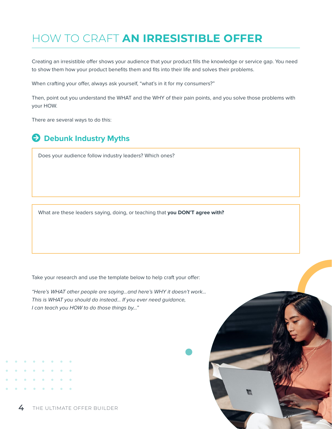# HOW TO CRAFT **AN IRRESISTIBLE OFFER**

Creating an irresistible offer shows your audience that your product fills the knowledge or service gap. You need to show them how your product benefits them and fits into their life and solves their problems.

When crafting your offer, always ask yourself, "what's in it for my consumers?"

Then, point out you understand the WHAT and the WHY of their pain points, and you solve those problems with your HOW.

There are several ways to do this:

## **A** Debunk Industry Myths

Does your audience follow industry leaders? Which ones?

What are these leaders saying, doing, or teaching that **you DON'T agree with?** 

Take your research and use the template below to help craft your offer:

"Here's WHAT other people are saying...and here's WHY it doesn't work... This is WHAT you should do instead... If you ever need guidance, I can teach you HOW to do those things by..."

**4** THE ULTIMATE OFFER BUILDER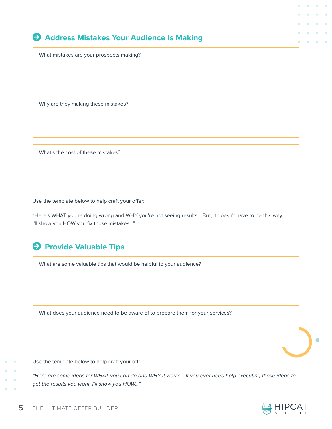## **Address Mistakes Your Audience Is Making**

What mistakes are your prospects making?

Why are they making these mistakes?

What's the cost of these mistakes?

Use the template below to help craft your offer:

"Here's WHAT you're doing wrong and WHY you're not seeing results… But, it doesn't have to be this way. I'll show you HOW you fix those mistakes..."

# **A** Provide Valuable Tips

What are some valuable tips that would be helpful to your audience?

What does your audience need to be aware of to prepare them for your services?

Use the template below to help craft your offer:

"Here are some ideas for WHAT you can do and WHY it works... If you ever need help executing those ideas to get the results you want, I'll show you HOW..."

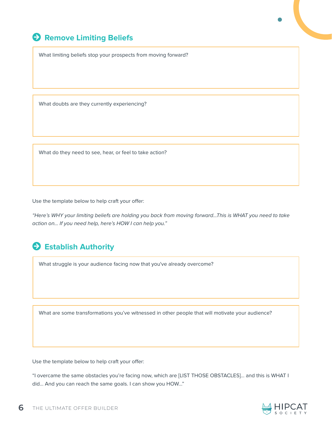# **Arrow-Circle-Right Exercise Seliefs**

What limiting beliefs stop your prospects from moving forward?

What doubts are they currently experiencing?

What do they need to see, hear, or feel to take action?

Use the template below to help craft your offer:

"Here's WHY your limiting beliefs are holding you back from moving forward...This is WHAT you need to take action on… If you need help, here's HOW I can help you."

# $\Theta$  Establish Authority

What struggle is your audience facing now that you've already overcome?

What are some transformations you've witnessed in other people that will motivate your audience?

Use the template below to help craft your offer:

"I overcame the same obstacles you're facing now, which are [LIST THOSE OBSTACLES]… and this is WHAT I did… And you can reach the same goals. I can show you HOW..."

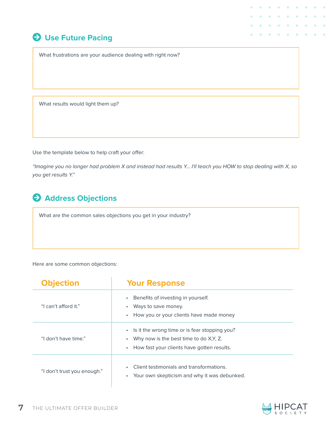# $\Theta$  Use Future Pacing

What frustrations are your audience dealing with right now?

What results would light them up?

Use the template below to help craft your offer:

"Imagine you no longer had problem X and instead had results Y… I'll teach you HOW to stop dealing with X, so you get results Y."

# **Address Objections**

What are the common sales objections you get in your industry?

#### Here are some common objections:

| <b>Objection</b>            | <b>Your Response</b>                                                                                                                                |
|-----------------------------|-----------------------------------------------------------------------------------------------------------------------------------------------------|
| "I can't afford it."        | Benefits of investing in yourself.<br>Ways to save money.<br>How you or your clients have made money                                                |
| "I don't have time."        | Is it the wrong time or is fear stopping you?<br>$\bullet$<br>Why now is the best time to do X, Y, Z.<br>How fast your clients have gotten results. |
| "I don't trust you enough." | Client testimonials and transformations.<br>Your own skepticism and why it was debunked.                                                            |

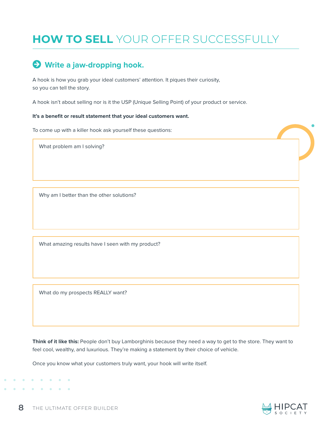# **HOW TO SELL** YOUR OFFER SUCCESSFULLY

# $\Theta$  Write a jaw-dropping hook.

A hook is how you grab your ideal customers' attention. It piques their curiosity, so you can tell the story.

A hook isn't about selling nor is it the USP (Unique Selling Point) of your product or service.

#### **It's a benefit or result statement that your ideal customers want.**

To come up with a killer hook ask yourself these questions:

What problem am I solving?

Why am I better than the other solutions?

What amazing results have I seen with my product?

What do my prospects REALLY want?

**Think of it like this:** People don't buy Lamborghinis because they need a way to get to the store. They want to feel cool, wealthy, and luxurious. They're making a statement by their choice of vehicle.

Once you know what your customers truly want, your hook will write itself.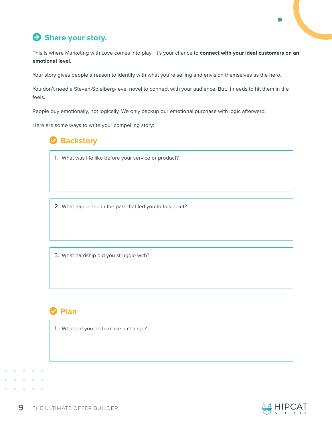# $\bullet$  Share your story.

This is where Marketing with Love comes into play. It's your chance to **connect with your ideal customers on an emotional level.** 

Your story gives people a reason to identify with what you're selling and envision themselves as the hero.

You don't need a Steven-Spielberg-level novel to connect with your audience. But, it needs to hit them in the feels.

People buy emotionally, not logically. We only backup our emotional purchase with logic afterward.

Here are some ways to write your compelling story:

# **Backstory**

1. What was life like before your service or product?

2. What happened in the past that led you to this point?

3. What hardship did you struggle with?

## **D** Plan

1. What did you do to make a change?

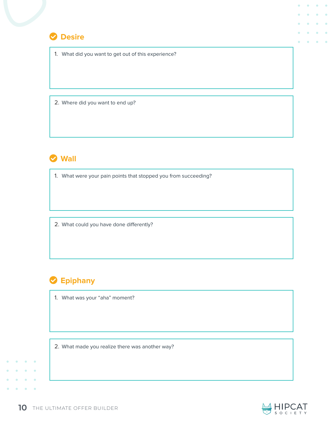

1. What did you want to get out of this experience?

2. Where did you want to end up?



1. What were your pain points that stopped you from succeeding?

2. What could you have done differently?

# **S** Epiphany

1. What was your "aha" moment?

2. What made you realize there was another way?



 $\ddot{\phantom{a}}$ 

 $\bullet$  $\ddot{\phantom{a}}$ 

 $\bullet$  $\bullet$  $\mathfrak{g}$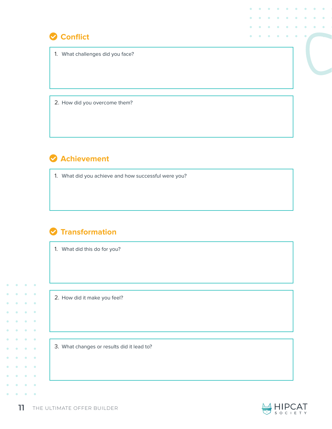

1. What challenges did you face?

2. How did you overcome them?

# **Achievement**

1. What did you achieve and how successful were you?

# $\bullet$  **Transformation**

1. What did this do for you?

2. How did it make you feel?

×

 $\hat{\mathbf{C}}$  $\ddot{\phantom{a}}$ 

 $\bullet$  $\bullet$  $\bullet$ × ò ó  $\bullet$  $\bullet$  $\bullet$  $\bullet$ 

 $\bullet$  $\bullet$ 

 $\bullet$  $\bullet$ 

 $\bullet$  $\bullet$  3. What changes or results did it lead to?

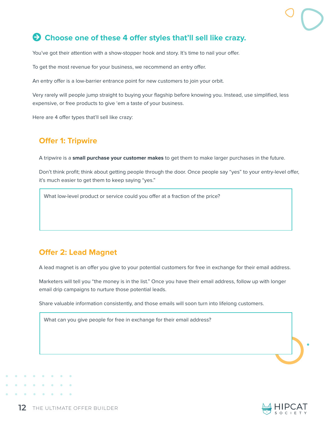# **Arrow-Circle-Right Choose one of these 4 offer styles that'll sell like crazy.**

You've got their attention with a show-stopper hook and story. It's time to nail your offer.

To get the most revenue for your business, we recommend an entry offer.

An entry offer is a low-barrier entrance point for new customers to join your orbit.

Very rarely will people jump straight to buying your flagship before knowing you. Instead, use simplified, less expensive, or free products to give 'em a taste of your business.

Here are 4 offer types that'll sell like crazy:

### **Offer 1: Tripwire**

A tripwire is a **small purchase your customer makes** to get them to make larger purchases in the future.

Don't think profit; think about getting people through the door. Once people say "yes" to your entry-level offer, it's much easier to get them to keep saying "yes."

What low-level product or service could you offer at a fraction of the price?

## **Offer 2: Lead Magnet**

A lead magnet is an offer you give to your potential customers for free in exchange for their email address.

Marketers will tell you "the money is in the list." Once you have their email address, follow up with longer email drip campaigns to nurture those potential leads.

Share valuable information consistently, and those emails will soon turn into lifelong customers.

What can you give people for free in exchange for their email address?

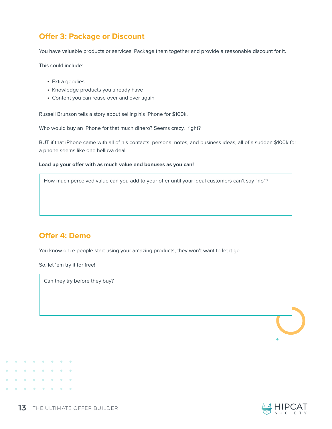## **Offer 3: Package or Discount**

You have valuable products or services. Package them together and provide a reasonable discount for it.

This could include:

- Extra goodies
- Knowledge products you already have
- Content you can reuse over and over again

Russell Brunson tells a story about selling his iPhone for \$100k.

Who would buy an iPhone for that much dinero? Seems crazy, right?

BUT if that iPhone came with all of his contacts, personal notes, and business ideas, all of a sudden \$100k for a phone seems like one helluva deal.

#### **Load up your offer with as much value and bonuses as you can!**

How much perceived value can you add to your offer until your ideal customers can't say "no"?

## **Offer 4: Demo**

You know once people start using your amazing products, they won't want to let it go.

So, let 'em try it for free!

Can they try before they buy?



 $\bullet$  $\bullet$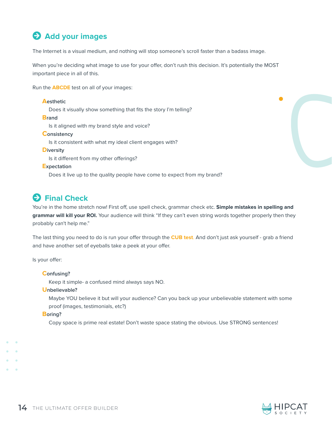# **Add your images**

The Internet is a visual medium, and nothing will stop someone's scroll faster than a badass image.

When you're deciding what image to use for your offer, don't rush this decision. It's potentially the MOST important piece in all of this.

Run the **ABCDE** test on all of your images:

#### **Aesthetic** Does it visually show something that fits the story I'm telling? **Brand** Is it aligned with my brand style and voice? **Consistency** Is it consistent with what my ideal client engages with? **Diversity** Is it different from my other offerings? **Expectation** Does it live up to the quality people have come to expect from my brand?

# **A** Final Check

You're in the home stretch now! First off, use spell check, grammar check etc. **Simple mistakes in spelling and grammar will kill your ROI.** Your audience will think "If they can't even string words together properly then they probably can't help me."

The last thing you need to do is run your offer through the **CUB test**. And don't just ask yourself - grab a friend and have another set of eyeballs take a peek at your offer.

Is your offer:

#### **Confusing?**

Keep it simple- a confused mind always says NO.

#### **Unbelievable?**

Maybe YOU believe it but will your audience? Can you back up your unbelievable statement with some proof (images, testimonials, etc?)

#### **Boring?**

Copy space is prime real estate! Don't waste space stating the obvious. Use STRONG sentences!